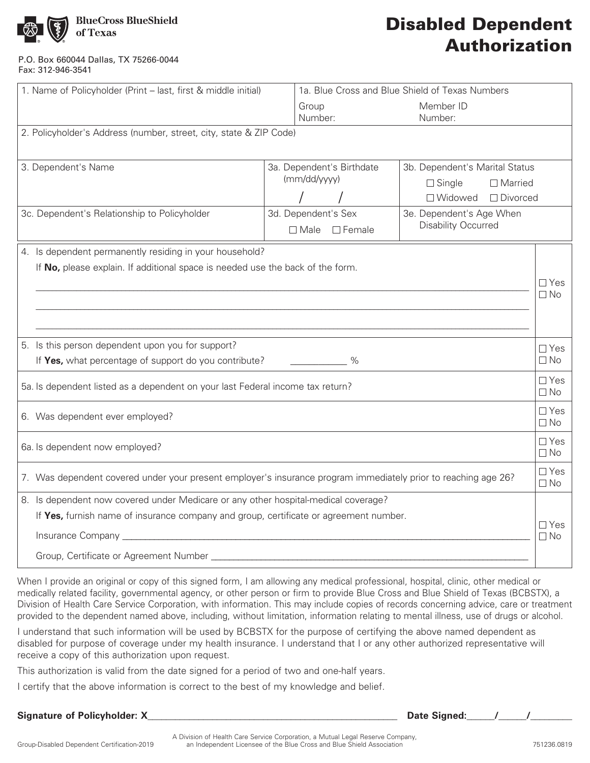

P.O. Box 660044 Dallas, TX 75266-0044 Fax: 312-946-3541

## Disabled Dependent Authorization

| 1. Name of Policyholder (Print - last, first & middle initial)                                                                                                                                                                             |                  | 1a. Blue Cross and Blue Shield of Texas Numbers                                       |                         |  |  |  |  |
|--------------------------------------------------------------------------------------------------------------------------------------------------------------------------------------------------------------------------------------------|------------------|---------------------------------------------------------------------------------------|-------------------------|--|--|--|--|
|                                                                                                                                                                                                                                            | Group<br>Number: | Member ID<br>Number:                                                                  |                         |  |  |  |  |
| 2. Policyholder's Address (number, street, city, state & ZIP Code)                                                                                                                                                                         |                  |                                                                                       |                         |  |  |  |  |
| 3a. Dependent's Birthdate<br>3. Dependent's Name<br>(mm/dd/yyyy)<br>$\Box$ Single<br>□ Widowed<br>3d. Dependent's Sex<br>3c. Dependent's Relationship to Policyholder<br><b>Disability Occurred</b><br>$\Box$ Male $\Box$ Female           |                  | 3b. Dependent's Marital Status<br>□ Married<br>□ Divorced<br>3e. Dependent's Age When |                         |  |  |  |  |
| 4. Is dependent permanently residing in your household?<br>If No, please explain. If additional space is needed use the back of the form.                                                                                                  |                  |                                                                                       | $\Box$ Yes<br>$\Box$ No |  |  |  |  |
| 5. Is this person dependent upon you for support?<br>If Yes, what percentage of support do you contribute?<br>$\%$                                                                                                                         |                  |                                                                                       |                         |  |  |  |  |
| 5a. Is dependent listed as a dependent on your last Federal income tax return?                                                                                                                                                             |                  |                                                                                       |                         |  |  |  |  |
| 6. Was dependent ever employed?                                                                                                                                                                                                            |                  |                                                                                       |                         |  |  |  |  |
| 6a. Is dependent now employed?                                                                                                                                                                                                             |                  |                                                                                       |                         |  |  |  |  |
| 7. Was dependent covered under your present employer's insurance program immediately prior to reaching age 26?                                                                                                                             |                  |                                                                                       |                         |  |  |  |  |
| 8. Is dependent now covered under Medicare or any other hospital-medical coverage?<br>If Yes, furnish name of insurance company and group, certificate or agreement number.<br>Insurance Company<br>Group, Certificate or Agreement Number |                  |                                                                                       |                         |  |  |  |  |
|                                                                                                                                                                                                                                            |                  |                                                                                       |                         |  |  |  |  |

When I provide an original or copy of this signed form, I am allowing any medical professional, hospital, clinic, other medical or medically related facility, governmental agency, or other person or firm to provide Blue Cross and Blue Shield of Texas (BCBSTX), a Division of Health Care Service Corporation, with information. This may include copies of records concerning advice, care or treatment provided to the dependent named above, including, without limitation, information relating to mental illness, use of drugs or alcohol.

I understand that such information will be used by BCBSTX for the purpose of certifying the above named dependent as disabled for purpose of coverage under my health insurance. I understand that I or any other authorized representative will receive a copy of this authorization upon request.

This authorization is valid from the date signed for a period of two and one-half years.

I certify that the above information is correct to the best of my knowledge and belief.

**Signature of Policyholder: X\_\_\_\_\_\_\_\_\_\_\_\_\_\_\_\_\_\_\_\_\_\_\_\_\_\_\_\_\_\_\_\_\_\_\_\_\_\_\_\_\_\_\_\_\_\_\_\_\_\_\_\_\_\_ Date Signed:\_\_\_\_\_\_/\_\_\_\_\_\_/\_\_\_\_\_\_\_\_\_**